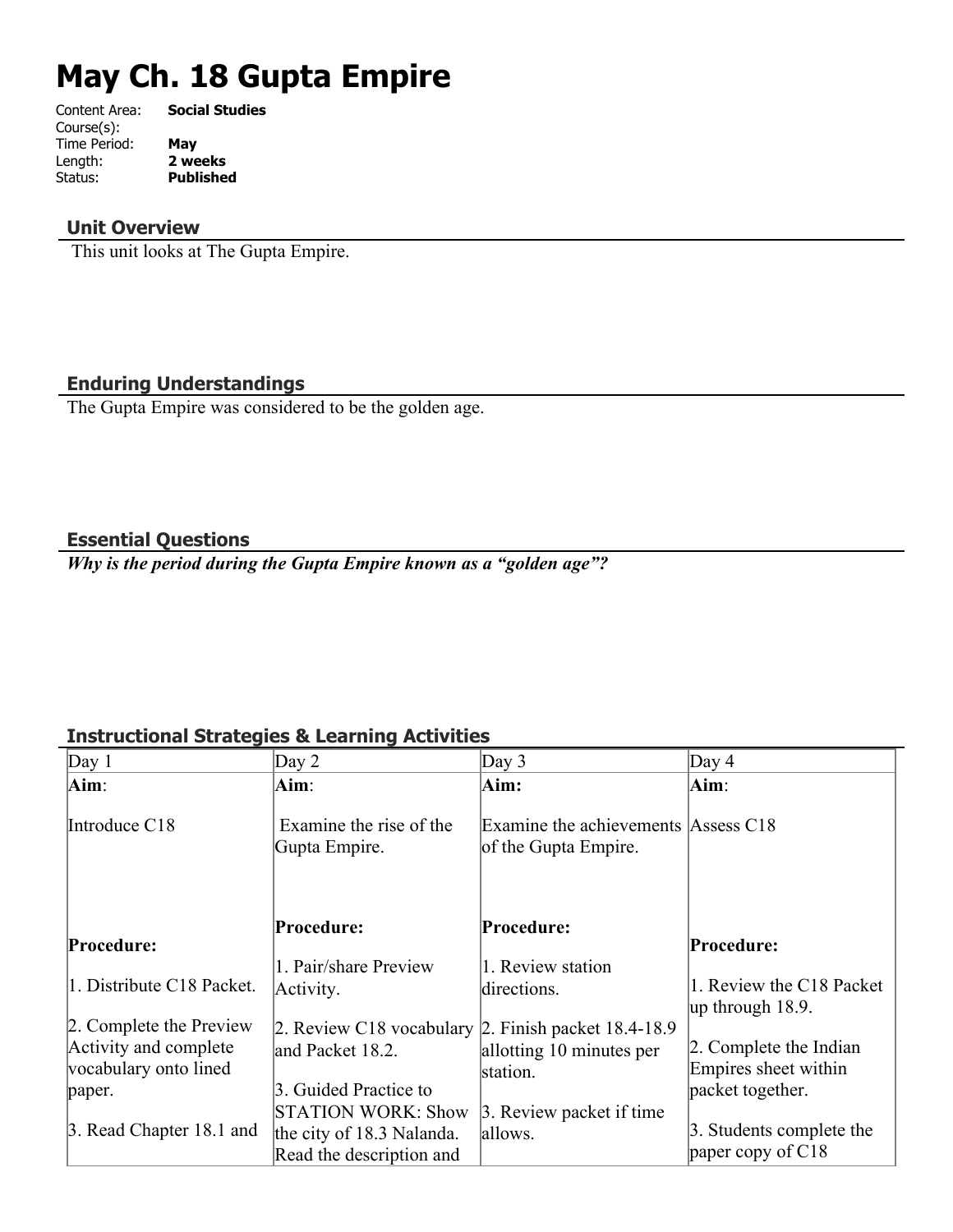# **May Ch. 18 Gupta Empire**

| Content Area: | <b>Social Studies</b> |
|---------------|-----------------------|
| Course(s):    |                       |
| Time Period:  | May                   |
| Length:       | 2 weeks               |
| Status:       | <b>Published</b>      |
|               |                       |

## **Unit Overview**

This unit looks at The Gupta Empire.

# **Enduring Understandings**

The Gupta Empire was considered to be the golden age.

## **Essential Questions**

*Why is the period during the Gupta Empire known as a "golden age"?*

# **Instructional Strategies & Learning Activities**

| Day $2$                                                | Day 3                                                       | Day $4$                                                                                                          |
|--------------------------------------------------------|-------------------------------------------------------------|------------------------------------------------------------------------------------------------------------------|
| Aim:                                                   | Aim:                                                        | Aim:                                                                                                             |
| Examine the rise of the<br>Gupta Empire.               | Examine the achievements Assess C18<br>of the Gupta Empire. |                                                                                                                  |
| Procedure:                                             | Procedure:                                                  | Procedure:                                                                                                       |
|                                                        |                                                             |                                                                                                                  |
| Activity.                                              | directions.                                                 | 1. Review the C18 Packet<br> up through $18.9$ .                                                                 |
|                                                        |                                                             |                                                                                                                  |
| and Packet 18.2.                                       | allotting 10 minutes per                                    | 2. Complete the Indian<br>Empires sheet within                                                                   |
| 3. Guided Practice to                                  |                                                             | packet together.                                                                                                 |
| <b>STATION WORK: Show</b><br>the city of 18.3 Nalanda. | allows.                                                     | 3. Students complete the<br>paper copy of C18                                                                    |
|                                                        | 1. Pair/share Preview<br>Read the description and           | 1. Review station<br>2. Review C18 vocabulary 2. Finish packet 18.4-18.9<br>station.<br>3. Review packet if time |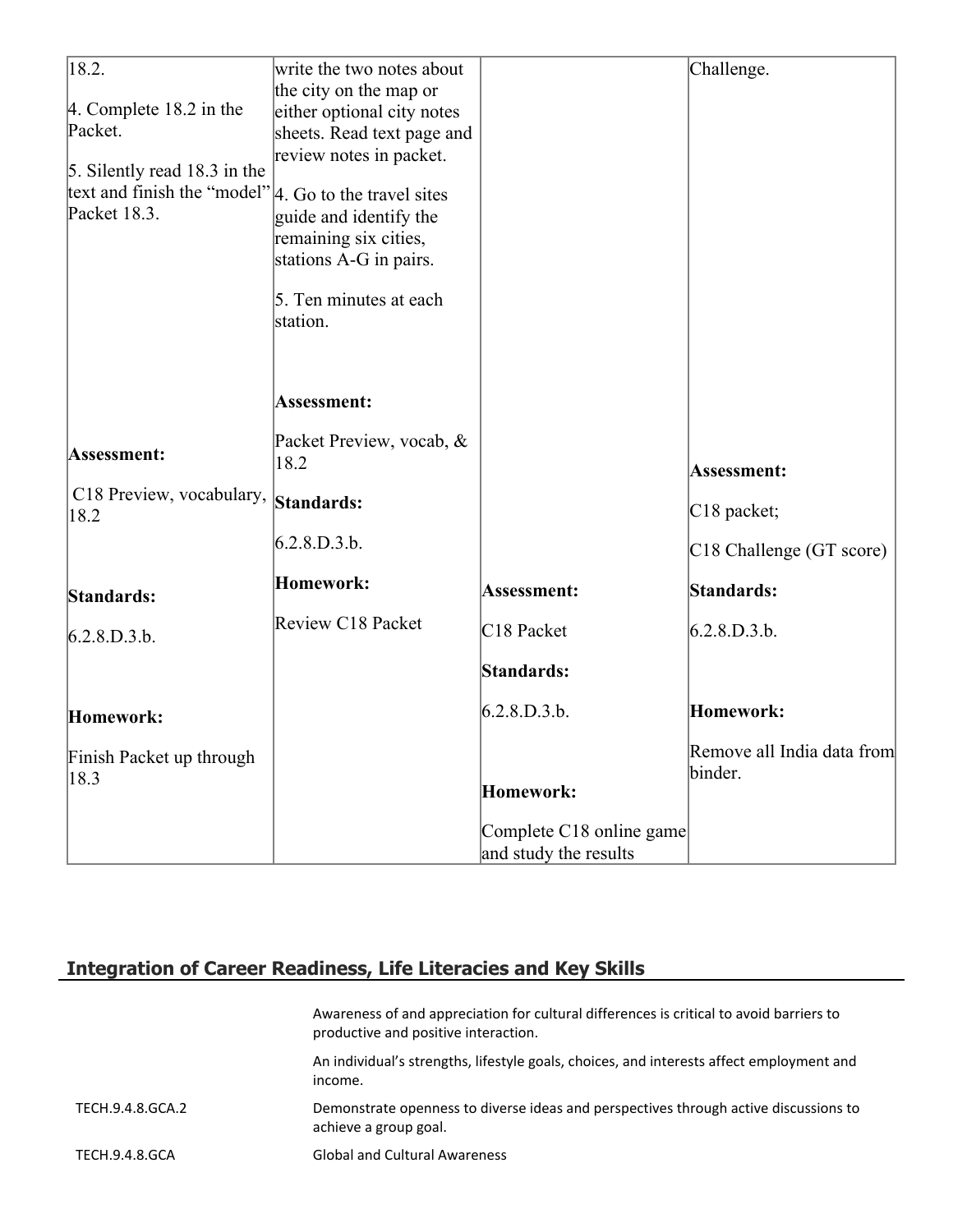| 18.2.                                                  | write the two notes about  |                          | Challenge.                            |
|--------------------------------------------------------|----------------------------|--------------------------|---------------------------------------|
|                                                        | the city on the map or     |                          |                                       |
| $ 4$ . Complete 18.2 in the                            | either optional city notes |                          |                                       |
| Packet.                                                | sheets. Read text page and |                          |                                       |
|                                                        | review notes in packet.    |                          |                                       |
| 5. Silently read 18.3 in the                           |                            |                          |                                       |
| text and finish the "model"  4. Go to the travel sites |                            |                          |                                       |
| Packet 18.3.                                           | guide and identify the     |                          |                                       |
|                                                        | remaining six cities,      |                          |                                       |
|                                                        | stations A-G in pairs.     |                          |                                       |
|                                                        |                            |                          |                                       |
|                                                        | 5. Ten minutes at each     |                          |                                       |
|                                                        | station.                   |                          |                                       |
|                                                        |                            |                          |                                       |
|                                                        |                            |                          |                                       |
|                                                        |                            |                          |                                       |
|                                                        | Assessment:                |                          |                                       |
|                                                        | Packet Preview, vocab, &   |                          |                                       |
| Assessment:                                            | 18.2                       |                          |                                       |
|                                                        |                            |                          | Assessment:                           |
| C18 Preview, vocabulary,                               | Standards:                 |                          | C <sub>18</sub> packet;               |
| 18.2                                                   |                            |                          |                                       |
|                                                        | 6.2.8.D.3.b.               |                          | C18 Challenge (GT score)              |
|                                                        | Homework:                  |                          |                                       |
| Standards:                                             |                            | Assessment:              | Standards:                            |
|                                                        | Review C18 Packet          | C <sub>18</sub> Packet   |                                       |
| 6.2.8.D.3.b.                                           |                            |                          | 6.2.8.D.3.b.                          |
|                                                        |                            | Standards:               |                                       |
|                                                        |                            |                          |                                       |
| Homework:                                              |                            | 6.2.8.D.3.b.             | Homework:                             |
|                                                        |                            |                          |                                       |
| Finish Packet up through                               |                            |                          | Remove all India data from<br>binder. |
| 18.3                                                   |                            | Homework:                |                                       |
|                                                        |                            |                          |                                       |
|                                                        |                            | Complete C18 online game |                                       |
|                                                        |                            | and study the results    |                                       |

# **Integration of Career Readiness, Life Literacies and Key Skills**

|                  | Awareness of and appreciation for cultural differences is critical to avoid barriers to<br>productive and positive interaction. |
|------------------|---------------------------------------------------------------------------------------------------------------------------------|
|                  | An individual's strengths, lifestyle goals, choices, and interests affect employment and<br>income.                             |
| TECH.9.4.8.GCA.2 | Demonstrate openness to diverse ideas and perspectives through active discussions to<br>achieve a group goal.                   |
| TECH.9.4.8.GCA   | <b>Global and Cultural Awareness</b>                                                                                            |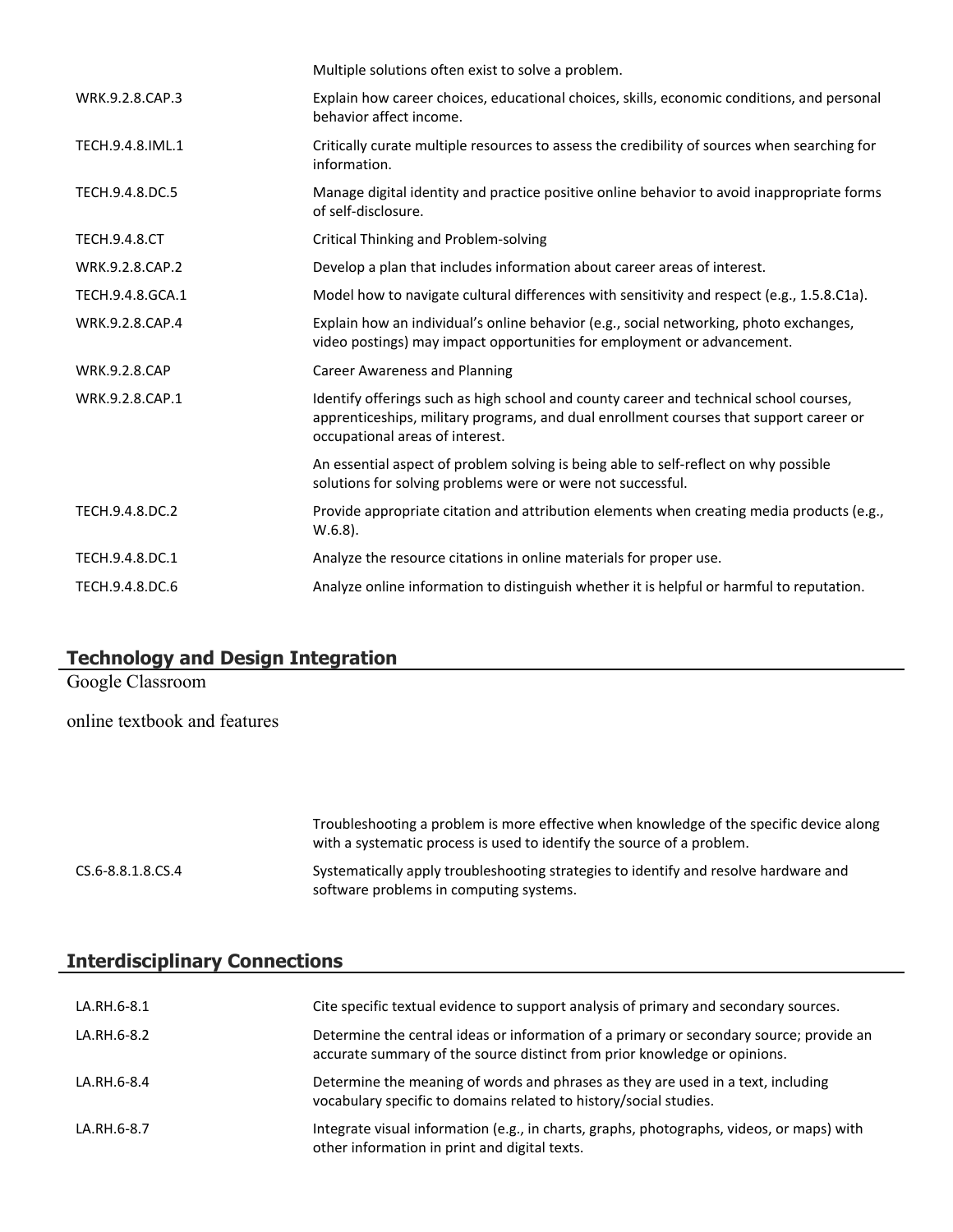|                      | Multiple solutions often exist to solve a problem.                                                                                                                                                                  |
|----------------------|---------------------------------------------------------------------------------------------------------------------------------------------------------------------------------------------------------------------|
| WRK.9.2.8.CAP.3      | Explain how career choices, educational choices, skills, economic conditions, and personal<br>behavior affect income.                                                                                               |
| TECH.9.4.8.IML.1     | Critically curate multiple resources to assess the credibility of sources when searching for<br>information.                                                                                                        |
| TECH.9.4.8.DC.5      | Manage digital identity and practice positive online behavior to avoid inappropriate forms<br>of self-disclosure.                                                                                                   |
| <b>TECH.9.4.8.CT</b> | Critical Thinking and Problem-solving                                                                                                                                                                               |
| WRK.9.2.8.CAP.2      | Develop a plan that includes information about career areas of interest.                                                                                                                                            |
| TECH.9.4.8.GCA.1     | Model how to navigate cultural differences with sensitivity and respect (e.g., 1.5.8.C1a).                                                                                                                          |
| WRK.9.2.8.CAP.4      | Explain how an individual's online behavior (e.g., social networking, photo exchanges,<br>video postings) may impact opportunities for employment or advancement.                                                   |
| <b>WRK.9.2.8.CAP</b> | <b>Career Awareness and Planning</b>                                                                                                                                                                                |
| WRK.9.2.8.CAP.1      | Identify offerings such as high school and county career and technical school courses,<br>apprenticeships, military programs, and dual enrollment courses that support career or<br>occupational areas of interest. |
|                      | An essential aspect of problem solving is being able to self-reflect on why possible<br>solutions for solving problems were or were not successful.                                                                 |
| TECH.9.4.8.DC.2      | Provide appropriate citation and attribution elements when creating media products (e.g.,<br>$W.6.8$ ).                                                                                                             |
| TECH.9.4.8.DC.1      | Analyze the resource citations in online materials for proper use.                                                                                                                                                  |
| TECH.9.4.8.DC.6      | Analyze online information to distinguish whether it is helpful or harmful to reputation.                                                                                                                           |

|  |  |  | <b>Technology and Design Integration</b> |
|--|--|--|------------------------------------------|
|--|--|--|------------------------------------------|

Google Classroom

online textbook and features

|                   | Troubleshooting a problem is more effective when knowledge of the specific device along<br>with a systematic process is used to identify the source of a problem. |
|-------------------|-------------------------------------------------------------------------------------------------------------------------------------------------------------------|
| CS.6-8.8.1.8.CS.4 | Systematically apply troubleshooting strategies to identify and resolve hardware and<br>software problems in computing systems.                                   |

# **Interdisciplinary Connections**

| LA.RH.6-8.1 | Cite specific textual evidence to support analysis of primary and secondary sources.                                                                                 |
|-------------|----------------------------------------------------------------------------------------------------------------------------------------------------------------------|
| LA.RH.6-8.2 | Determine the central ideas or information of a primary or secondary source; provide an<br>accurate summary of the source distinct from prior knowledge or opinions. |
| LA.RH.6-8.4 | Determine the meaning of words and phrases as they are used in a text, including<br>vocabulary specific to domains related to history/social studies.                |
| LA.RH.6-8.7 | Integrate visual information (e.g., in charts, graphs, photographs, videos, or maps) with<br>other information in print and digital texts.                           |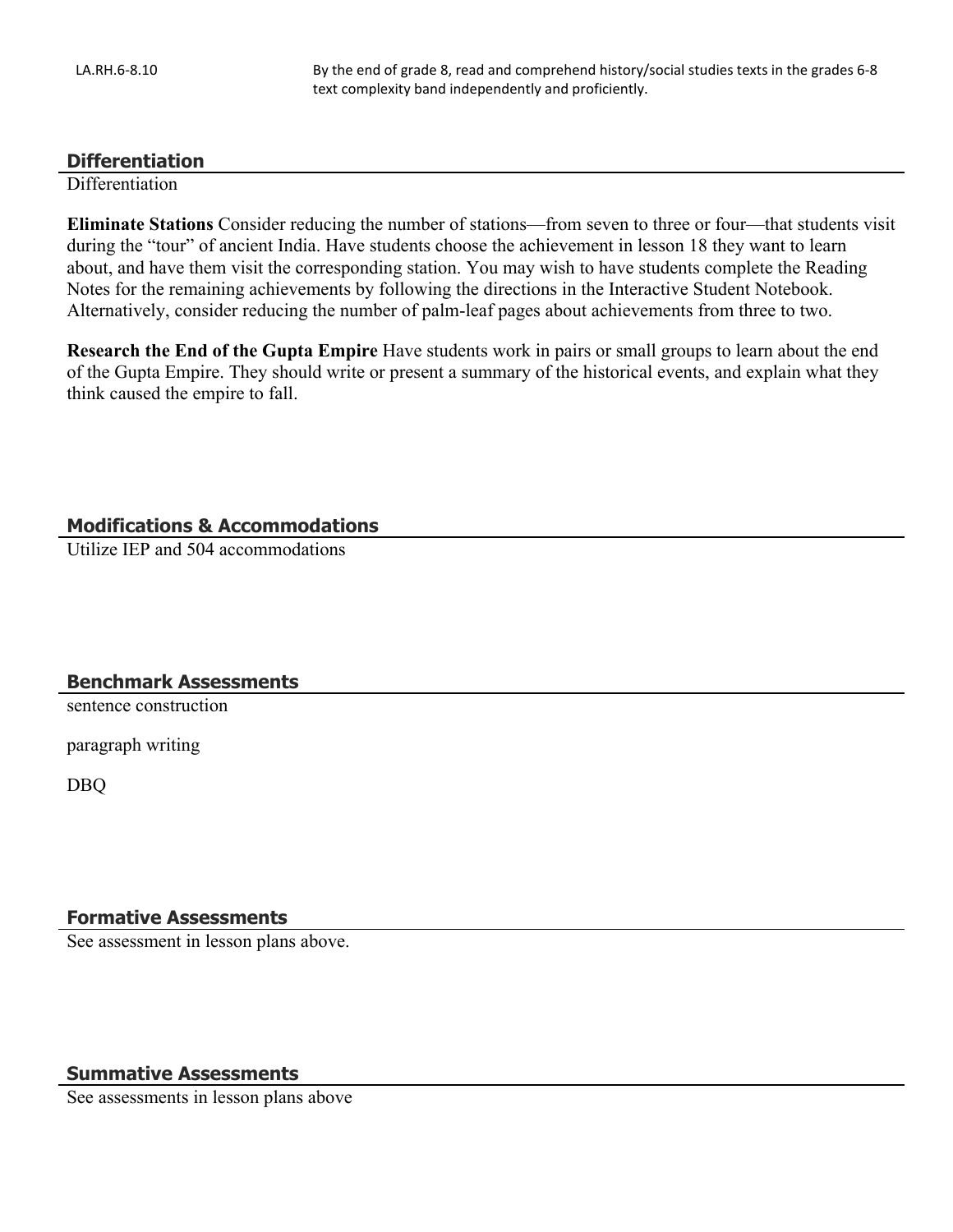#### **Differentiation**

**Differentiation** 

**Eliminate Stations** Consider reducing the number of stations—from seven to three or four—that students visit during the "tour" of ancient India. Have students choose the achievement in lesson 18 they want to learn about, and have them visit the corresponding station. You may wish to have students complete the Reading Notes for the remaining achievements by following the directions in the Interactive Student Notebook. Alternatively, consider reducing the number of palm-leaf pages about achievements from three to two.

**Research the End of the Gupta Empire** Have students work in pairs or small groups to learn about the end of the Gupta Empire. They should write or present a summary of the historical events, and explain what they think caused the empire to fall.

#### **Modifications & Accommodations**

Utilize IEP and 504 accommodations

#### **Benchmark Assessments**

sentence construction

paragraph writing

DBQ

#### **Formative Assessments**

See assessment in lesson plans above.

#### **Summative Assessments**

See assessments in lesson plans above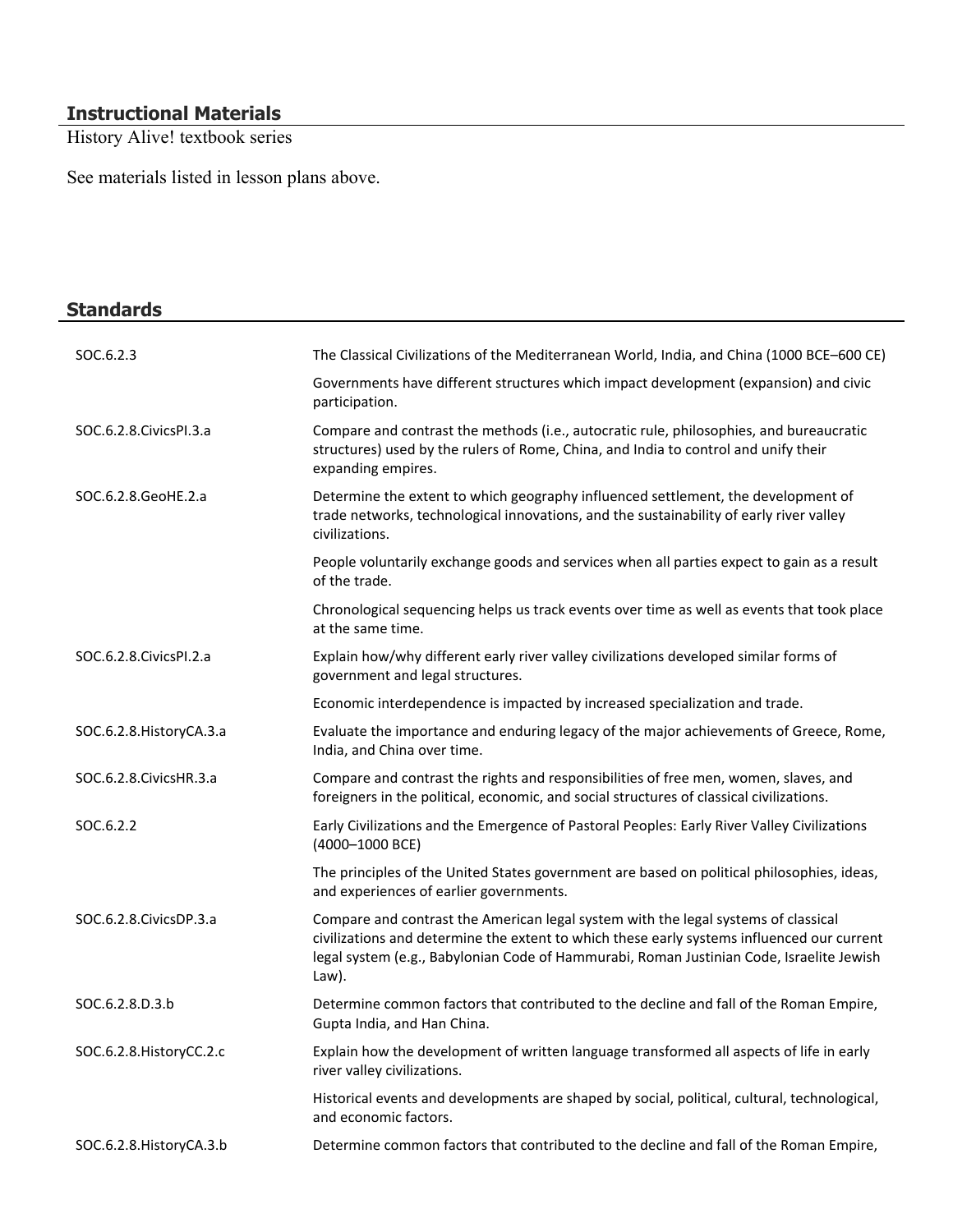### **Instructional Materials**

History Alive! textbook series

See materials listed in lesson plans above.

| <b>Standards</b>          |                                                                                                                                                                                                                                                                                       |
|---------------------------|---------------------------------------------------------------------------------------------------------------------------------------------------------------------------------------------------------------------------------------------------------------------------------------|
| SOC.6.2.3                 | The Classical Civilizations of the Mediterranean World, India, and China (1000 BCE-600 CE)                                                                                                                                                                                            |
|                           | Governments have different structures which impact development (expansion) and civic<br>participation.                                                                                                                                                                                |
| SOC.6.2.8. Civics PI.3.a  | Compare and contrast the methods (i.e., autocratic rule, philosophies, and bureaucratic<br>structures) used by the rulers of Rome, China, and India to control and unify their<br>expanding empires.                                                                                  |
| SOC.6.2.8.GeoHE.2.a       | Determine the extent to which geography influenced settlement, the development of<br>trade networks, technological innovations, and the sustainability of early river valley<br>civilizations.                                                                                        |
|                           | People voluntarily exchange goods and services when all parties expect to gain as a result<br>of the trade.                                                                                                                                                                           |
|                           | Chronological sequencing helps us track events over time as well as events that took place<br>at the same time.                                                                                                                                                                       |
| SOC.6.2.8. Civics PI.2.a  | Explain how/why different early river valley civilizations developed similar forms of<br>government and legal structures.                                                                                                                                                             |
|                           | Economic interdependence is impacted by increased specialization and trade.                                                                                                                                                                                                           |
| SOC.6.2.8. History CA.3.a | Evaluate the importance and enduring legacy of the major achievements of Greece, Rome,<br>India, and China over time.                                                                                                                                                                 |
| SOC.6.2.8. Civics HR.3.a  | Compare and contrast the rights and responsibilities of free men, women, slaves, and<br>foreigners in the political, economic, and social structures of classical civilizations.                                                                                                      |
| SOC.6.2.2                 | Early Civilizations and the Emergence of Pastoral Peoples: Early River Valley Civilizations<br>(4000-1000 BCE)                                                                                                                                                                        |
|                           | The principles of the United States government are based on political philosophies, ideas,<br>and experiences of earlier governments.                                                                                                                                                 |
| SOC.6.2.8. Civics DP.3.a  | Compare and contrast the American legal system with the legal systems of classical<br>civilizations and determine the extent to which these early systems influenced our current<br>legal system (e.g., Babylonian Code of Hammurabi, Roman Justinian Code, Israelite Jewish<br>Law). |
| SOC.6.2.8.D.3.b           | Determine common factors that contributed to the decline and fall of the Roman Empire,<br>Gupta India, and Han China.                                                                                                                                                                 |
| SOC.6.2.8. HistoryCC.2.c  | Explain how the development of written language transformed all aspects of life in early<br>river valley civilizations.                                                                                                                                                               |
|                           | Historical events and developments are shaped by social, political, cultural, technological,<br>and economic factors.                                                                                                                                                                 |
| SOC.6.2.8. HistoryCA.3.b  | Determine common factors that contributed to the decline and fall of the Roman Empire,                                                                                                                                                                                                |